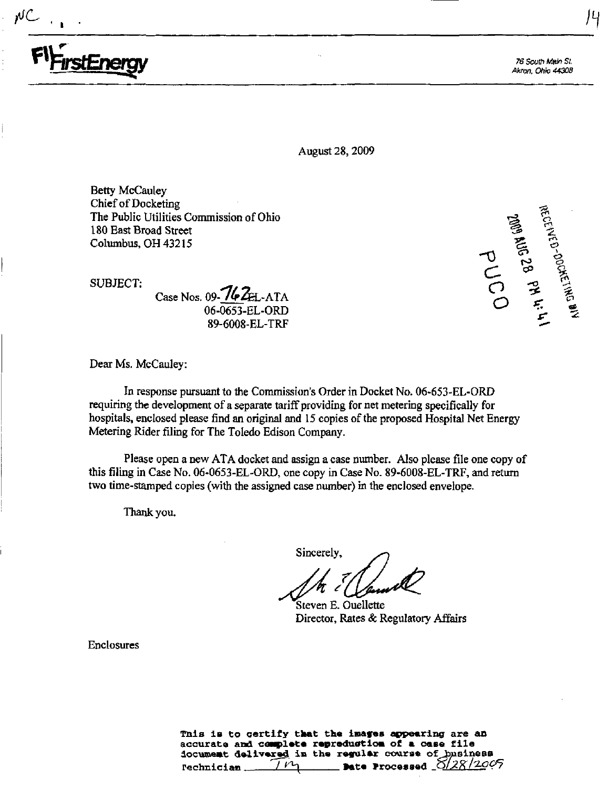

Akron. Ohto 44308

August 28, 2009

Betty McCauley Chief of Docketing The Public Utilities Commission of Ohio 180 East Broad Street Columbus, OH 43215

SUBJECT;

Case Nos. 09- $762E$ -ATA 06-0653-EL-ORD 89-6008-EL-TRF

Dear Ms. McCauley:

In response pursuant to the Commission's Order in Docket No. 06-653-EL-ORD requiring the development of a separate tariff providing for net metering specifically for hospitals, enclosed please find an original and 15 copies of the proposed Hospital Net Energy Metering Rider filing for The Toledo Edison Company.

Please open a new ATA docket and assign a case number. Also please file one copy of this filing in Case No. 06-0653-EL-ORD, one copy in Case No. 89-6008-EL-TRF, and retum two time-stamped copies (with the assigned case number) in the enclosed envelope.

Thank you.

Sincerely,

Steven E. Ouellette Director, Rates & Regulatory Affairs

Enclosures

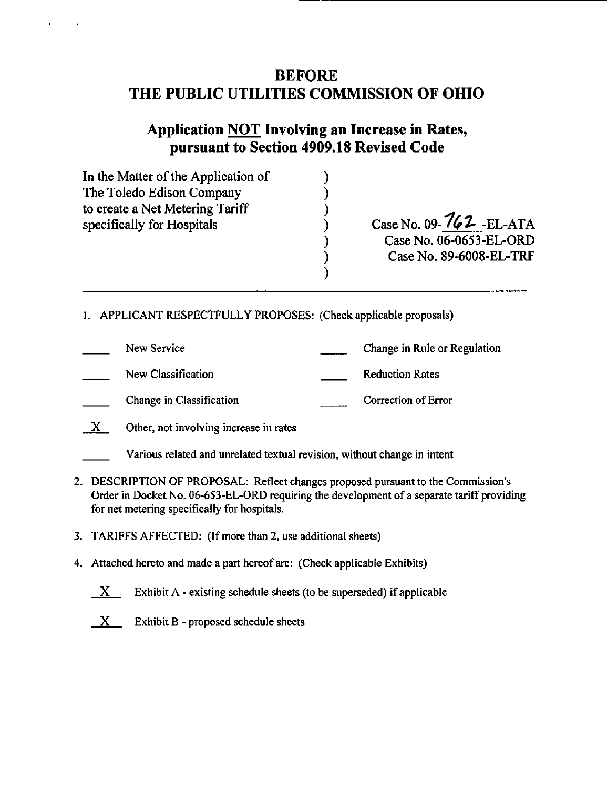# BEFORE THE PUBLIC UTILITIES COMMISSION OF OHIO

# Application NOT Involving an Increase in Rates, pursuant to Section 4909.18 Revised Code

| In the Matter of the Application of |                          |
|-------------------------------------|--------------------------|
| The Toledo Edison Company           |                          |
| to create a Net Metering Tariff     |                          |
| specifically for Hospitals          | Case No. 09-762 - EL-ATA |
|                                     | Case No. 06-0653-EL-ORD  |
|                                     | Case No. 89-6008-EL-TRF  |
|                                     |                          |

- 1. APPLICANT RESPECTFULLY PROPOSES: (Check applicable proposals)
- New Service Change in Rule or Regulation New Classification **Reduction** Rates Change in Classification Correction Correction of Error
- $X$  Other, not involving increase in rates
- Various related and unrelated textual revision, without change in intent
- 2. DESCRIPTION OF PROPOSAL: Reflect changes proposed pursuant to the Commission's Order in Docket No. 06-653-EL-ORD requiring the development of a separate tariff providing for net metering specifically for hospitals.
- 3. TARIFFS AFFECTED: (Ifmore than 2, use additional sheets)
- 4. Attached hereto and made a part hereof are: (Check applicable Exhibits)
	- $X$  Exhibit A existing schedule sheets (to be superseded) if applicable
	- $X$  Exhibit B proposed schedule sheets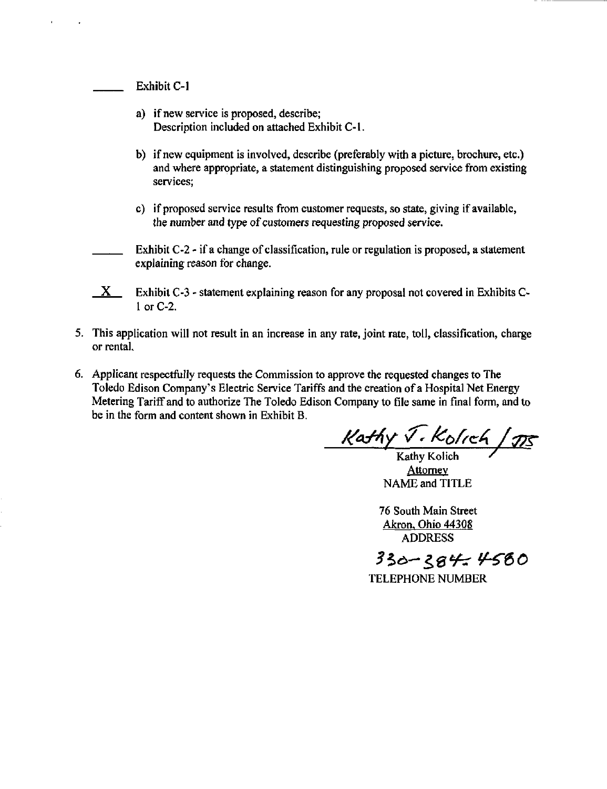Exhibit C-l

- a) if new service is proposed, describe; Description included on attached Exhibit C-1.
- b) if new equipment is involved, describe (preferably with a picture, brochure, etc.) and where appropriate, a statement distinguishing proposed service from existing services;
- c) if proposed service results from customer requests, so state, giving if available, the number and type of customers requesting proposed service.
- Exhibit C-2 if a change of classification, rule or regulation is proposed, a statement explaining reason for change.
- $X$  Exhibit C-3 statement explaining reason for any proposal not covered in Exhibits C-1 or C-2.
- 5. This application will not result in an increase in any rate, joint rate, toll, classification, charge or rental
- 6. Applicant respectfully requests the Commission to approve the requested changes to The Toledo Edison Company's Electric Service Tariffs and the creation of a Hospital Net Energy Metering Tariff and to authorize The Toledo Edison Company to file same in final form, and to be in the form and content shown in Exhibit B.

Kathy *J. Kolich* / 115

**Attorney** NAME and TITLE

76 South Main Street Akron, Ohio 44308 ADDRESS

330-384-4580

TELEPHONE NUMBER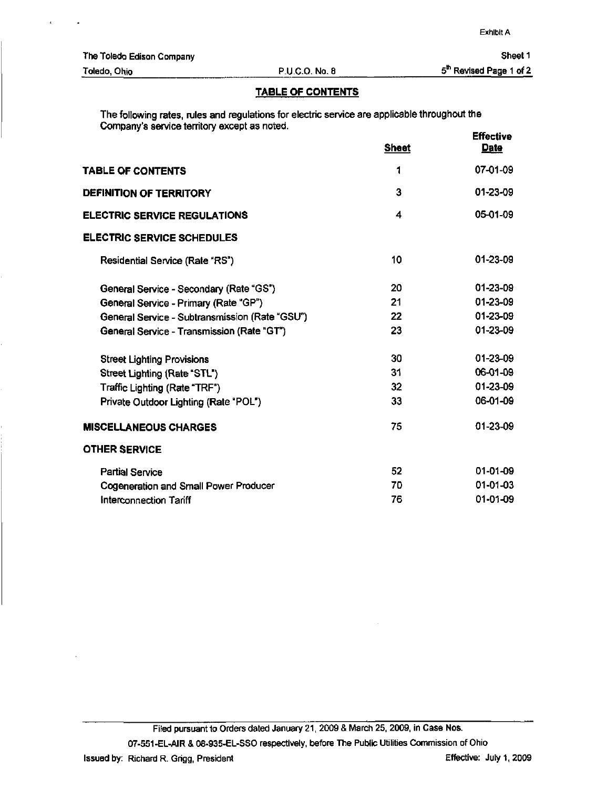#### TABLE OF CONTENTS

The following rates, rules and regulations for electric service are applicable throughout the Company's service territory except as noted. **Effective** 

|                                                | <b>Sheet</b>    | <b>Date</b>    |
|------------------------------------------------|-----------------|----------------|
| TABLE OF CONTENTS                              | 1               | 07-01-09       |
| <b>DEFINITION OF TERRITORY</b>                 | 3               | 01-23-09       |
| <b>ELECTRIC SERVICE REGULATIONS</b>            | 4               | 05-01-09       |
| <b>ELECTRIC SERVICE SCHEDULES</b>              |                 |                |
| Residential Service (Rate "RS")                | 10              | $01 - 23 - 09$ |
| General Service - Secondary (Rate "GS")        | 20              | 01-23-09       |
| General Service - Primary (Rate "GP")          | 21              | 01-23-09       |
| General Service - Subtransmission (Rate "GSU") | 22              | 01-23-09       |
| General Service - Transmission (Rate "GT")     | 23              | 01-23-09       |
| <b>Street Lighting Provisions</b>              | 30              | $01 - 23 - 09$ |
| Street Lighting (Rate "STL")                   | 31              | 06-01-09       |
| Traffic Lighting (Rate "TRF")                  | 32 <sub>2</sub> | 01-23-09       |
| Private Outdoor Lighting (Rate "POL")          | 33              | 06-01-09       |
| <b>MISCELLANEOUS CHARGES</b>                   | 75              | 01-23-09       |
| <b>OTHER SERVICE</b>                           |                 |                |
| <b>Partial Service</b>                         | 52              | 01-01-09       |
| Cogeneration and Small Power Producer          | 70              | $01 - 01 - 03$ |
| Interconnection Tariff                         | 76              | 01-01-09       |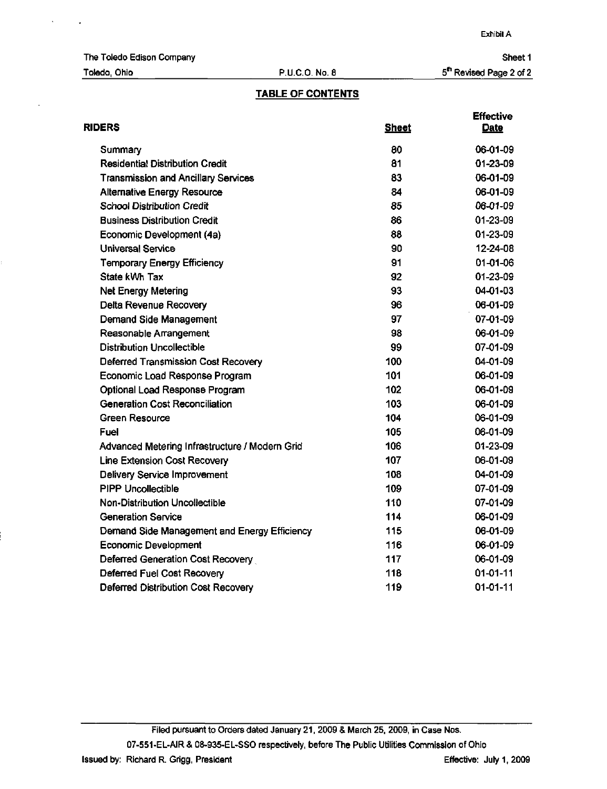Exhibit A

The Toledo Edison Company

# Toledo, Ohio P.U.C.O. No. 8

Sheet 1 5<sup>th</sup> Revised Page 2 of 2

# TABLE OF CONTENTS

| <b>RIDERS</b>                                  | <b>Sheet</b> | <b>Effective</b><br><b>Date</b> |
|------------------------------------------------|--------------|---------------------------------|
| Summary                                        | 80           | 06-01-09                        |
| <b>Residential Distribution Credit</b>         | 81           | 01-23-09                        |
| <b>Transmission and Ancillary Services</b>     | 83           | 06-01-09                        |
| <b>Alternative Energy Resource</b>             | 84           | 06-01-09                        |
| <b>School Distribution Credit</b>              | 85           | 06-01-09                        |
| <b>Business Distribution Credit</b>            | 86           | 01-23-09                        |
| Economic Development (4a)                      | 88           | 01-23-09                        |
| <b>Universal Service</b>                       | 90           | 12-24-08                        |
| Temporary Energy Efficiency                    | 91           | 01-01-06                        |
| State kWh Tax                                  | 92           | 01-23-09                        |
| <b>Net Energy Metering</b>                     | 93           | 04-01-03                        |
| Delta Revenue Recovery                         | 96           | 06-01-09                        |
| Demand Side Management                         | 97           | 07-01-09                        |
| Reasonable Arrangement                         | 98           | 06-01-09                        |
| <b>Distribution Uncollectible</b>              | 99           | 07-01-09                        |
| Deferred Transmission Cost Recovery            | 100          | 04-01-09                        |
| Economic Load Response Program                 | 101          | 06-01-09                        |
| Optional Load Response Program                 | 102          | 06-01-09                        |
| <b>Generation Cost Reconciliation</b>          | 103          | 06-01-09                        |
| Green Resource                                 | 104          | 06-01-09                        |
| Fuel                                           | 105          | 06-01-09                        |
| Advanced Metering Infrastructure / Modern Grid | 106          | 01-23-09                        |
| <b>Line Extension Cost Recovery</b>            | 107          | 06-01-09                        |
| Delivery Service Improvement                   | 108          | 04-01-09                        |
| <b>PIPP Uncollectible</b>                      | 109          | 07-01-09                        |
| Non-Distribution Uncollectible                 | 110          | 07-01-09                        |
| <b>Generation Service</b>                      | 114          | 06-01-09                        |
| Demand Side Management and Energy Efficiency   | 115          | 06-01-09                        |
| <b>Economic Development</b>                    | 116          | 06-01-09                        |
| Deferred Generation Cost Recovery              | 117          | 06-01-09                        |
| Deferred Fuel Cost Recovery                    | 118          | $01-01-11$                      |
| Deferred Distribution Cost Recovery            | 119          | $01 - 01 - 11$                  |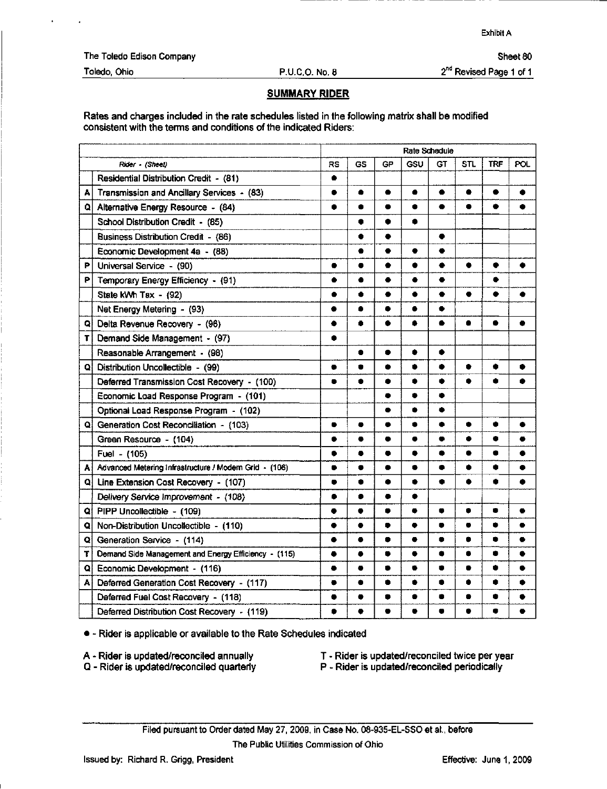Exhibit A

Sheet 80

The Toledo Edison Company

#### Toledo, Ohio P.U.C.O. No. a

2<sup>nd</sup> Revised Page 1 of 1

## SUMMARY RIDER

Rates and charges included in the rate schedules listed in the following matrix shall be modified consistent with the temis and conditions of the indicated Riders:

|    |                                                        | Rate Schedule |           |           |           |           |            |            |           |
|----|--------------------------------------------------------|---------------|-----------|-----------|-----------|-----------|------------|------------|-----------|
|    | Rider - (Sheet)                                        | <b>RS</b>     | GS        | <b>GP</b> | GSU       | GT        | <b>STL</b> | <b>TRF</b> | POL       |
|    | Residential Distribution Credit - (81)                 | ٠             |           |           |           |           |            |            |           |
| А  | Transmission and Ancillary Services - (83)             |               | ۰         | ۰         |           | ۰         | ٠          | ٠          | ۰         |
| Q  | Alternative Energy Resource - (84)                     |               | ë         | ۰         | ۰         | ٠         | ٠          | ٠          |           |
|    | School Distribution Credit - (85)                      |               |           | ۰         | 0         |           |            |            |           |
|    | <b>Business Distribution Credit - (86)</b>             |               | $\bullet$ | ٠         |           | ٠         |            |            |           |
|    | Economic Development 4a - (88)                         |               | ۰         | ٠         | ٠         | $\bullet$ |            |            |           |
| Р  | Universal Service - (90)                               | ۰             | 0         | ۰         | e         | ٠         | ٠          | ۰          | a         |
| Ρ  | Temporary Energy Efficiency - (91)                     | ∙             | ٠         | ٠         |           | ٠         |            | ٠          |           |
|    | State kWh Tax - (92)                                   | ۰             | ۰         | ٠         | ۰         | $\bullet$ | $\bullet$  | ٠          |           |
|    | Net Energy Metering - (93)                             |               | ●         |           | ▲         | $\bullet$ |            |            |           |
| ٥  | Delta Revenue Recovery - (96)                          | ٠             | 0         | ٠         |           | ٠         | ●          | ٠          | о         |
| T. | Demand Side Management - (97)                          | ۰             |           |           |           |           |            |            |           |
|    | Reasonable Arrangement - (98)                          |               | ė         | $\bullet$ | ٠         | $\bullet$ |            |            |           |
| ٥  | Distribution Uncollectible - (99)                      | ۰             | c         | ۰         | O         |           |            |            |           |
|    | Deferred Transmission Cost Recovery - (100)            | $\bullet$     | ٠         |           | ۰         | ۰         |            |            |           |
|    | Economic Load Response Program - (101)                 |               |           | ۰         | ۰         | ۰         |            |            |           |
|    | Optional Load Response Program - (102)                 |               |           | ۰         | ۸         | $\bullet$ |            |            |           |
| Q۱ | Generation Cost Reconciliation - (103)                 |               |           | ۰         | ۰         | ٠         | ۰          | ٠          | ٠         |
|    | Green Resource - (104)                                 | $\bullet$     | $\bullet$ | ۰         |           | $\bullet$ | ۰          | ۰          | $\bullet$ |
|    | Fuel - (105)                                           | ٠             |           |           | ۰         | ٠         | ۰          | ٠          |           |
| A  | Advanced Metering Infrastructure / Modern Grid - (106) | $\bullet$     | ۰         | ۰         | G         | $\bullet$ |            | ۰          |           |
| Q  | Line Extension Cost Recovery - (107)                   | ●             | ۰         | ۰         | o         | ٠         | ٠          | ۰          |           |
|    | Delivery Service Improvement - (108)                   | $\bullet$     | $\bullet$ |           | ۰         |           |            |            |           |
| QI | PIPP Uncollectible - (109)                             | ۰             | $\bullet$ | $\bullet$ | ۰         | $\bullet$ | ۰          | ۰          | ٠         |
| Q  | Non-Distribution Uncollectible - (110)                 | ●             | ٠         |           |           | $\bullet$ | ٠          | ۰          |           |
| Q  | Generation Service - (114)                             | ۰             | $\bullet$ |           | $\bullet$ | $\bullet$ | ۰          | $\bullet$  | ٠         |
| T  | Demand Side Management and Energy Efficiency - (115)   | ۰             | ٠         |           | ۰         | ۰         | ٠          | ۰          | ٠         |
| Q  | Economic Development - (116)                           |               | $\bullet$ | ۰         | ۰         | $\bullet$ | $\bullet$  | ۰          | ۰         |
| A  | Deferred Generation Cost Recovery - (117)              |               | ۰         | ۰         | 6         | ٠         | ●          | û          |           |
|    | Deferred Fuel Cost Recovery - (118)                    |               |           | ۰         |           | ٠         |            | ۰          |           |
|    | Deferred Distribution Cost Recovery - (119)            | 0             | ٠         |           |           | $\bullet$ |            |            |           |

• - Rider is applicable or available to the Rate Schedules indicated

- A Rider is updated/reconciled annually
- T Rider is updated/reconciled twice per year
- Q Rider is updated/reconciled quarterly
- P Rider is updated/reconciled periodically
- Filed pursuant to Order dated May 27,2009, in Case No. 08-935-EL-SSO et al., before The Public Utilities Commission of Ohio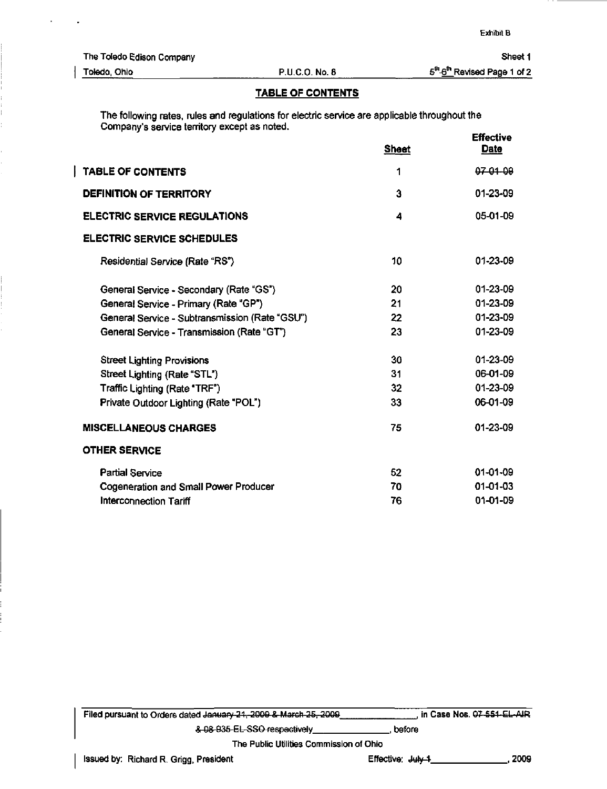Sheet 1

I

Toledo, Ohio P.U.C.O. No. 8

 $5^{th}$ - $6^{th}$  Revised Page 1 of 2

### TABLE OF CONTENTS

The following rates, rules and regulations for electric service are applicable throughout the Company's service territory except as noted. **Effective** 

|                                                | <b>Sheet</b> | しけでしいマセ<br><b>Date</b> |
|------------------------------------------------|--------------|------------------------|
| <b>TABLE OF CONTENTS</b>                       | 1            | 07-01-09               |
| <b>DEFINITION OF TERRITORY</b>                 | 3            | 01-23-09               |
| <b>ELECTRIC SERVICE REGULATIONS</b>            | 4            | 05-01-09               |
| <b>ELECTRIC SERVICE SCHEDULES</b>              |              |                        |
| Residential Service (Rate "RS")                | 10           | 01-23-09               |
| General Service - Secondary (Rate "GS")        | 20           | 01-23-09               |
| General Service - Primary (Rate "GP")          | 21           | 01-23-09               |
| General Service - Subtransmission (Rate "GSU") | 22           | 01-23-09               |
| General Service - Transmission (Rate "GT")     | 23           | 01-23-09               |
| <b>Street Lighting Provisions</b>              | 30           | 01-23-09               |
| Street Lighting (Rate "STL")                   | 31           | 06-01-09               |
| Traffic Lighting (Rate "TRF")                  | 32           | $01 - 23 - 09$         |
| Private Outdoor Lighting (Rate "POL")          | 33           | 06-01-09               |
| <b>MISCELLANEOUS CHARGES</b>                   | 75           | $01 - 23 - 09$         |
| <b>OTHER SERVICE</b>                           |              |                        |
| <b>Partial Service</b>                         | 52           | $01-01-09$             |
| <b>Cogeneration and Small Power Producer</b>   | 70           | $01 - 01 - 03$         |
| Interconnection Tariff                         | 76           | $01 - 01 - 09$         |

| Filed pursuant to Orders dated January 21, 2009 & March 25, 2009 | in Case Nos. 07-551-EL-AIR |
|------------------------------------------------------------------|----------------------------|
| & 08-935-EL-SSO respectively                                     | before                     |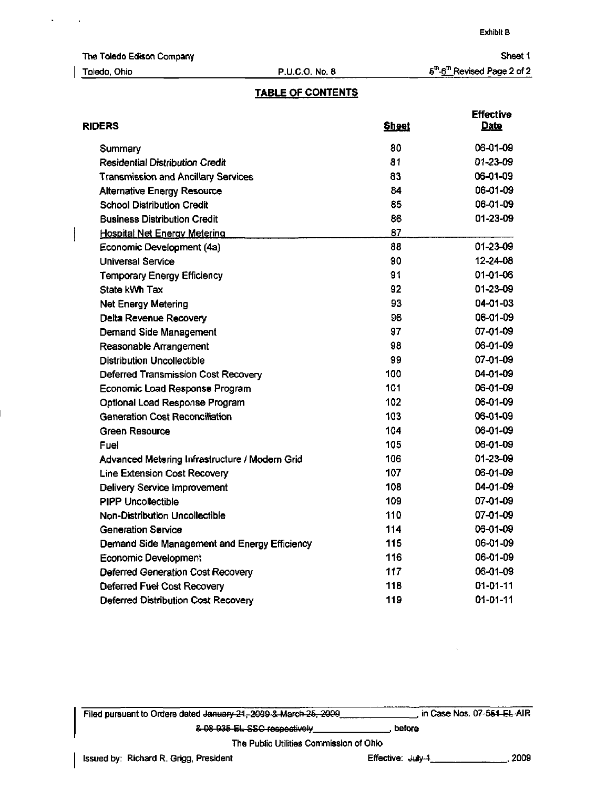The Toledo Edison Company

 $\Delta$ 

 $\overline{a}$ 

 $\overline{ }$ 

### Toledo, Ohio P.U.C.O. No. 8

Sheet 1 §<sup>th</sup>-6<sup>th</sup> Revised Page 2 of 2

## TABLE OF CONTENTS

| <b>Sheet</b> | <b>Effective</b><br>Date |
|--------------|--------------------------|
| 80           | 06-01-09                 |
| 81           | 01-23-09                 |
| 83           | 06-01-09                 |
| 84           | 06-01-09                 |
| 85           | 06-01-09                 |
| 86           | 01-23-09                 |
| 87           |                          |
| 88           | 01-23-09                 |
| 90           | 12-24-08                 |
| 91           | 01-01-06                 |
| 92           | 01-23-09                 |
| 93           | 04-01-03                 |
| 96           | 06-01-09                 |
| 97           | 07-01-09                 |
| 98           | 06-01-09                 |
| 99           | 07-01-09                 |
| 100          | 04-01-09                 |
| 101          | 06-01-09                 |
| 102          | 06-01-09                 |
| 103          | 06-01-09                 |
| 104          | 06-01-09                 |
| 105          | 06-01-09                 |
| 106          | 01-23-09                 |
| 107          | 06-01-09                 |
| 108          | 04-01-09                 |
| 109          | 07-01-09                 |
| 110          | 07-01-09                 |
| 114          | 06-01-09                 |
| 115          | 06-01-09                 |
| 116          | 06-01-09                 |
| 117          | 06-01-09                 |
| 118          | 01-01-11                 |
| 119          | 01-01-11                 |
|              |                          |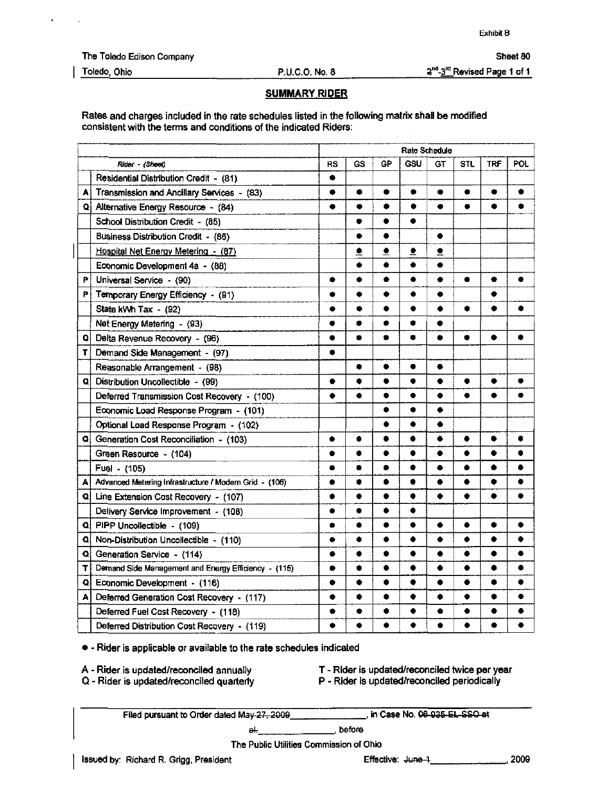Exhibit B

Sheet 80

The Toledo Edison Company

### Toledo, Ohio P.U.C.O. No. 8

 $2^{nd}$ - $3^{\prime\prime\prime}$  Revised Page 1 of 1

#### SUMMARY RIDER

Rates and charges included in the rate schedules listed in the following matrix shall be modified consistent with the terms and conditions of the indicated Riders:

|   |                                                        | Rate Schedule |           |           |           |           |           |            |           |
|---|--------------------------------------------------------|---------------|-----------|-----------|-----------|-----------|-----------|------------|-----------|
|   | Rider - (Sheet)                                        | <b>RS</b>     | GS        | GP        | GSU       | GT        | STL       | <b>TRF</b> | POL       |
|   | Residential Distribution Credit - (81)                 | ٠             |           |           |           |           |           |            |           |
| А | Transmission and Ancillary Services - (83)             | ۰             | ٠         | ٠         | ۰         | ۰         | ۰         | ۰          |           |
|   | Q Alternative Energy Resource - (84)                   | ٠             | ٠         | ٠         | ٠         | ٠         | ۰         | ٠          |           |
|   | School Distribution Credit - (85)                      |               | $\bullet$ | ۰         | ٠         |           |           |            |           |
|   | Business Distribution Credit - (86)                    |               | ۰         | ۰         |           | ٠         |           |            |           |
|   | Hospital Net Energy Metering - (87)                    |               | ≗         | ∙         | ∙         | ∙         |           |            |           |
|   | Economic Development 4a - (88)                         |               | ۰         | ۰         | ۰         | $\bullet$ |           |            |           |
| P | Universal Service - (90)                               | ۰             | ٠         | $\bullet$ | $\bullet$ | $\bullet$ | ٠         | ٠          |           |
| P | Temporary Energy Efficiency - (91)                     |               |           |           |           |           |           |            |           |
|   | State kWh Tax - (92)                                   | ۰             | ۰         | ٠         |           | ٠         | ۰         | ۰          |           |
|   | Net Energy Metering - (93)                             | ٠             | ۰         |           |           | ٠         |           |            |           |
| Q | Delta Revenue Recovery - (96)                          | ۰             | $\bullet$ | ۰         |           | ۰         | ۰         | ٠          | ÷         |
| т | Demand Side Management - (97)                          | ۰             |           |           |           |           |           |            |           |
|   | Reasonable Arrangement - (98)                          |               |           | ٠         |           | ٠         |           |            |           |
| Q | Distribution Uncollectible - (99)                      | ٠             | ۰         | ۰         | ۰         | ٠         | $\bullet$ | $\bullet$  | $\bullet$ |
|   | Deferred Transmission Cost Recovery - (100)            | ٠             | ٠         | ٠         |           | ٠         | ٠         | ٠          |           |
|   | Economic Load Response Program - (101)                 |               |           | $\bullet$ | ۰         | ۰         |           |            |           |
|   | Optional Load Response Program - (102)                 |               |           | ٠         | ٠         | ٠         |           |            |           |
|   | Q Generation Cost Reconciliation - (103)               | ٠             | ٠         | ٠         | 0         | ٠         |           | ٠          | ٠         |
|   | Green Resource - (104)                                 | ٠             | 0         | ٠         | ۰         | ۰         | ٠         | ٠          | ٠         |
|   | Fuel - (105)                                           | ٠             | ۰         | $\bullet$ | ۰         | ٠         | ٠         | ٠          | ٠         |
| A | Advanced Metering Infrastructure / Modern Grid - (106) | ٠             | $\bullet$ | $\bullet$ | ۰         | ٠         | ٠         | $\bullet$  | $\bullet$ |
| Q | Line Extension Cost Recovery - (107)                   | ۰             | ۰         | ٠         | $\bullet$ | $\bullet$ | ٠         | ٠          |           |
|   | Delivery Service Improvement - (108)                   | ٠             | ٠         | ٠         |           |           |           |            |           |
| Q | PIPP Uncollectible - (109)                             | $\bullet$     |           | ٠         | ۰         | ۰         | ٠         | ٠          | ٠         |
| Q | Non-Distribution Uncollectible - (110)                 | $\bullet$     | ٠         | ٠         | ۰         | ۰         | ٠         | ٠          | ٠         |
| Q | Generation Service - (114)                             | ٠             | $\bullet$ | ٠         | ۰         | ٠         | ٠         | ۰          | ٠         |
| т | Demand Side Management and Energy Efficiency - (115)   |               | ۰         | ٠         | ۰         | ٠         |           | ٠          | ۰         |
| Q | Economic Development - (116)                           |               | 0         | ٠         |           | ٠         |           |            |           |
| А | Deferred Generation Cost Recovery - (117)              | ۰             | ٠         | ٠         | ٠         | ۰         | ٠         | ●          |           |
|   | Deferred Fuel Cost Recovery - (118)                    | ٠             | ٠         | ۰         |           | ٠         |           |            |           |
|   | Deferred Distribution Cost Recovery - (119)            | ۰             | $\bullet$ | ٠         | ٠         | ۰         | ٠         | $\bullet$  |           |

• - Rider is applicable or available to the rate schedules indicated

A - Rider is updated/reconciled annually

T - Rider is updated/reconciled twice per year

Q - Rider is updated/reconciled quarterly

P - Rider is updated/reconciled periodically

Filed pursuant to Order dated May 27, 2009\_

in Case No. 08 035 EL SSO ot

 $\leftrightarrow$ before

The Public Utilities Commission of Ohio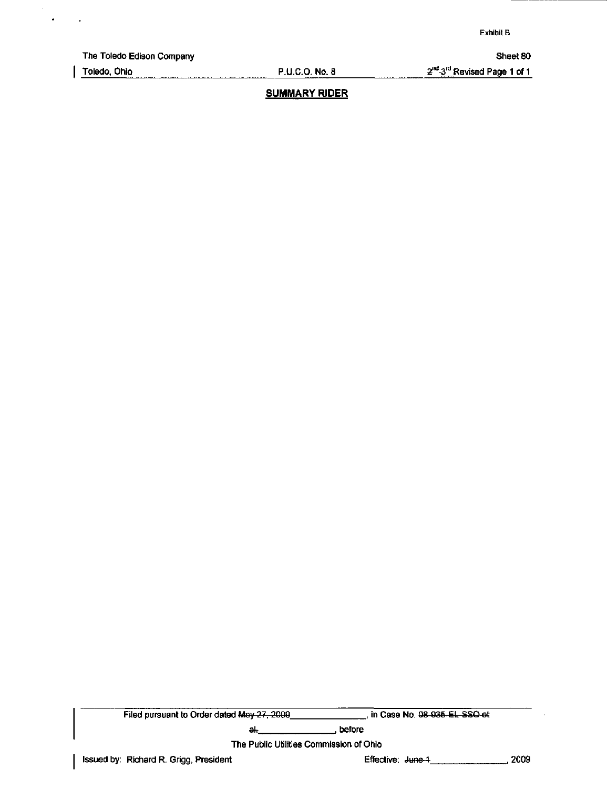The Toledo Edison Company Sheet 80

 $\blacksquare$ 

 $\mathbf{r}$ 

Toledo, Ohio P.U.C.O. No. 8 2<sup>nd</sup> 3<sup>rd</sup> Revised Page 1 of 1

# SUMMARY RIDER

Filed pursuant to Order dated May 27, 2009 [19] in Case No. 08-935 EL SSO et

ak , before , before

The Public Utilities Commission of Ohio

Issued by: Richard R. Grigg, President Effective: June 1 , 2009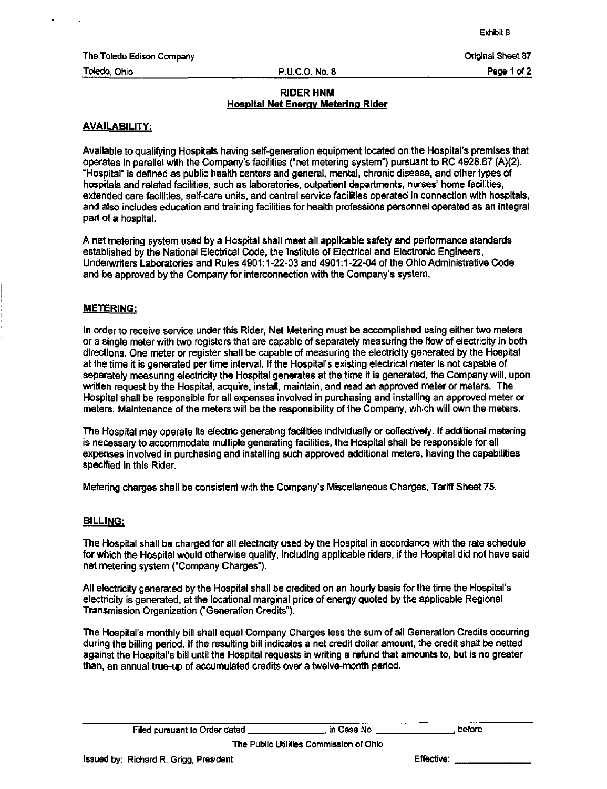Exhibit B

The Toledo Edison Company **Original Sheet 87** and the Toledo Edison Company **Original Sheet 87** 

Toledo. Ohio P.U.C.O. No. 8 Page 1 of 2

#### RIDER HNM Hospital Net Energy Metering Rider

#### AVAILABILITY:

Available to qualifying Hospitals having self-generation equipment located on the Hospital's premises that operates in parallel with the Company's facilities ("net metering system") pursuant to RC 4928.67 (A)(2). "Hospital" is defined as public health centers and general, mental, chronic disease, and other types of hospitals and related facilities, such as laboratories, outpatient departments, nurses' home facilities, extended care facilities, self-care units, and central service facilities operated in connection with hospitals, and also includes education and training facilities for health professions personnel operated as an integral part of a hospital.

A net metering system used by a Hospital shall meet all applicable safety and performance standards established by the National Electrical Code, the Institute of Electrical and Electronic Engineers, Underwriters Laboratories and Rules 4901:1-22-03 and 4901:1-22-04 ofthe Ohio Administrative Code and be approved by the Company for interconnection with the Company's system.

#### METERING:

In order to receive service under this Rider, Net Metering must be accomplished using either two meters or a single meter with two registers that are capable of separately measuring the flow of electricity in both directions. One meter or register shall be capable of measuring the electricity generated by the Hospital at the time it is generated per time inten/al. If the Hospital's existing electrical meter is not capable of separately measuring electricity the Hospital generates at the time it is generated, the Company will, upon written request by the Hospital, acquire, install, maintain, and read an approved meter or meters. The Hospital shall be responsible for all expenses involved in purchasing and installing an approved meter or meters. Maintenance of the meters will be the responsibility of the Company, which will own the meters.

The Hospital may operate its electric generating facilities individually or collectively. If additional metering is necessary to accommodate multiple generating facilities, the Hospital shall be responsible for all expenses involved in purchasing and installing such approved additional meters, having the capabilities specified in this Rider.

Metering charges shall be consistent with the Company's Miscellaneous Charges, Tariff Sheet 75.

#### BILLING:

The Hospital shall be charged for all electricity used by the Hospital in accordance with the rate schedule for which the Hospital would otherwise qualify, including applicable riders, if the Hospital did not have said net metering system ("Company Charges").

All electricity generated by the Hospital shall be credited on an hourly basis for the time the Hospital's electricity is generated, at the locational marginal price of energy quoted by the applicable Regional Transmission Organization ("Generation Credits").

The Hospital's monthly bill shall equal Company Charges less the sum of all Generation Credits occurring during the billing period. If the resulting bill indicates a net credit dollar amount, the credit shall be netted against the Hospital's bill until the Hospital requests in writing a refund that amounts to, but is no greater than, an annual true-up of accumulated credits over a twelve-month period.

The Public Utilities Commission of Ohio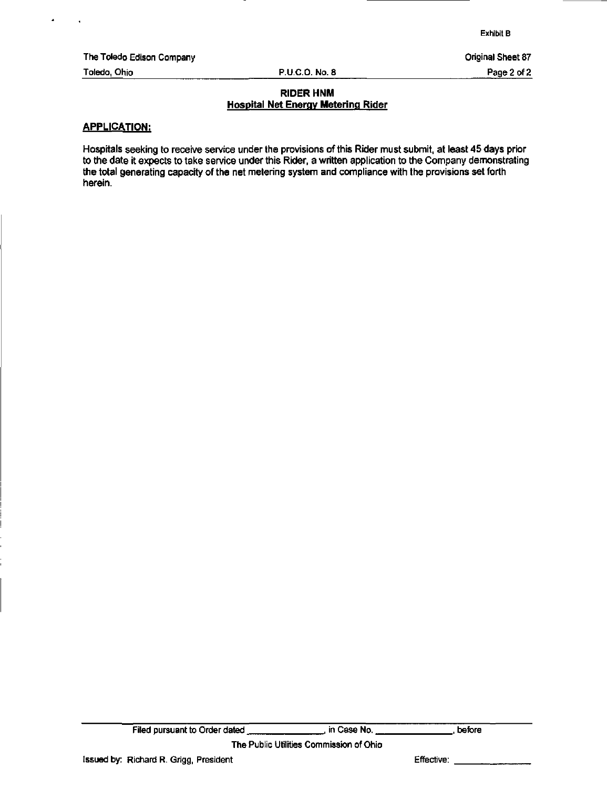Exhibit B

The Toledo Edison Company **Company** Company Company Company Company Company Company Company Company Company Company

 $\lambda$ 

Toledo, Ohio P.U.C.O. No. 8 Page 2 of 2

### RIDER HNM Hospital Net Energy Metering Rider

#### APPLICATION:

Hospitals seeking to receive service under the provisions of this Rider must submit, at least 45 days prior to the date it expects to take service under this Rider, a written application to the Company demonstrating the total generating capacity of the net metering system and compliance with the provisions set forth herein.

The Public Utilities Commission of Ohio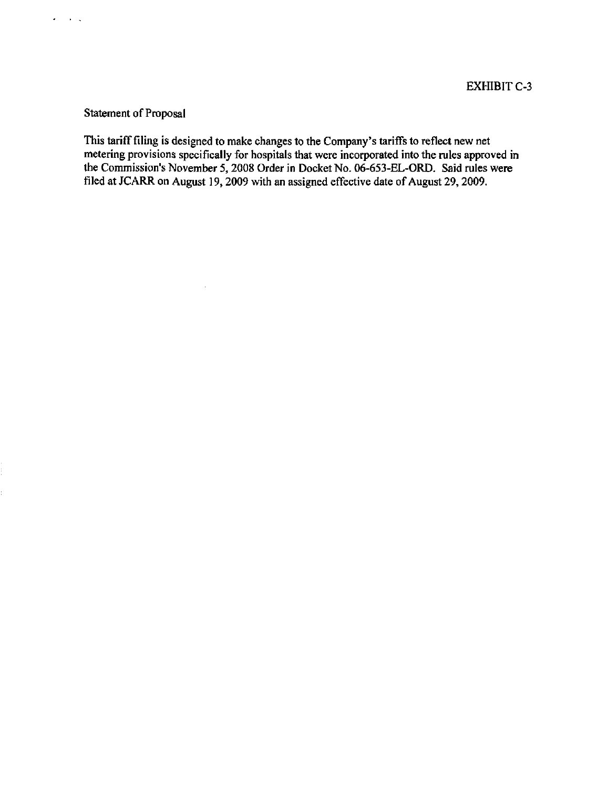# Statement of Proposal

 $\mathcal{A}$ 

 $\sigma_{\rm{eff}}=0.01$ 

This tariff filing is designed to make changes to the Company's tariffs to reflect new net metering provisions specifically for hospitals that were incorporated into the rules approved in the Commission's November 5, 2008 Order in Docket No. 06-653-EL-ORD. Said rules were filed at JCARR on August 19, 2009 with an assigned effective date of August 29, 2009.